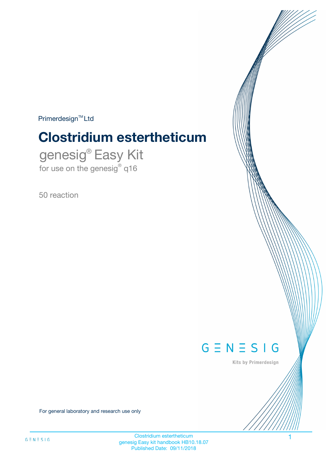$Primerdesign^{\text{TM}}Ltd$ 

# **Clostridium estertheticum**

genesig® Easy Kit for use on the genesig® q16

50 reaction



Kits by Primerdesign

For general laboratory and research use only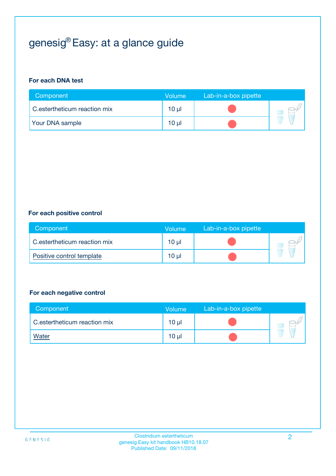## genesig® Easy: at a glance guide

#### **For each DNA test**

| Component                    | <b>Volume</b> | Lab-in-a-box pipette |  |
|------------------------------|---------------|----------------------|--|
| C.estertheticum reaction mix | 10 µl         |                      |  |
| <b>Your DNA sample</b>       | 10 µl         |                      |  |

#### **For each positive control**

| Component                    | Volume          | Lab-in-a-box pipette |  |
|------------------------------|-----------------|----------------------|--|
| C.estertheticum reaction mix | 10 <sub>µ</sub> |                      |  |
| Positive control template    | 10 <sub>µ</sub> |                      |  |

#### **For each negative control**

| Component                    | <b>Volume</b>   | Lab-in-a-box pipette |  |
|------------------------------|-----------------|----------------------|--|
| C.estertheticum reaction mix | $10 \mu$        |                      |  |
| <u>Water</u>                 | 10 <sub>µ</sub> |                      |  |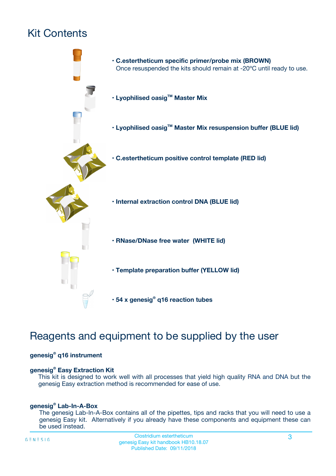## Kit Contents



## Reagents and equipment to be supplied by the user

#### **genesig® q16 instrument**

#### **genesig® Easy Extraction Kit**

This kit is designed to work well with all processes that yield high quality RNA and DNA but the genesig Easy extraction method is recommended for ease of use.

#### **genesig® Lab-In-A-Box**

The genesig Lab-In-A-Box contains all of the pipettes, tips and racks that you will need to use a genesig Easy kit. Alternatively if you already have these components and equipment these can be used instead.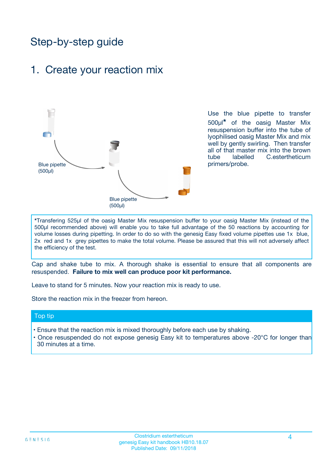## Step-by-step guide

### 1. Create your reaction mix



Use the blue pipette to transfer 500µl**\*** of the oasig Master Mix resuspension buffer into the tube of lyophilised oasig Master Mix and mix well by gently swirling. Then transfer all of that master mix into the brown tube labelled C.estertheticum primers/probe.

**\***Transfering 525µl of the oasig Master Mix resuspension buffer to your oasig Master Mix (instead of the 500µl recommended above) will enable you to take full advantage of the 50 reactions by accounting for volume losses during pipetting. In order to do so with the genesig Easy fixed volume pipettes use 1x blue, 2x red and 1x grey pipettes to make the total volume. Please be assured that this will not adversely affect the efficiency of the test.

Cap and shake tube to mix. A thorough shake is essential to ensure that all components are resuspended. **Failure to mix well can produce poor kit performance.**

Leave to stand for 5 minutes. Now your reaction mix is ready to use.

Store the reaction mix in the freezer from hereon.

#### Top tip

- Ensure that the reaction mix is mixed thoroughly before each use by shaking.
- **•** Once resuspended do not expose genesig Easy kit to temperatures above -20°C for longer than 30 minutes at a time.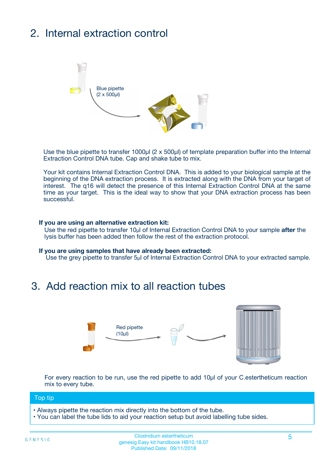## 2. Internal extraction control



Use the blue pipette to transfer 1000µl (2 x 500µl) of template preparation buffer into the Internal Extraction Control DNA tube. Cap and shake tube to mix.

Your kit contains Internal Extraction Control DNA. This is added to your biological sample at the beginning of the DNA extraction process. It is extracted along with the DNA from your target of interest. The q16 will detect the presence of this Internal Extraction Control DNA at the same time as your target. This is the ideal way to show that your DNA extraction process has been successful.

#### **If you are using an alternative extraction kit:**

Use the red pipette to transfer 10µl of Internal Extraction Control DNA to your sample **after** the lysis buffer has been added then follow the rest of the extraction protocol.

#### **If you are using samples that have already been extracted:**

Use the grey pipette to transfer 5µl of Internal Extraction Control DNA to your extracted sample.

### 3. Add reaction mix to all reaction tubes



For every reaction to be run, use the red pipette to add 10µl of your C.estertheticum reaction mix to every tube.

#### Top tip

- Always pipette the reaction mix directly into the bottom of the tube.
- You can label the tube lids to aid your reaction setup but avoid labelling tube sides.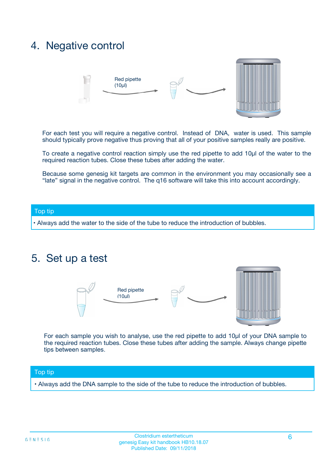### 4. Negative control



For each test you will require a negative control. Instead of DNA, water is used. This sample should typically prove negative thus proving that all of your positive samples really are positive.

To create a negative control reaction simply use the red pipette to add 10µl of the water to the required reaction tubes. Close these tubes after adding the water.

Because some genesig kit targets are common in the environment you may occasionally see a "late" signal in the negative control. The q16 software will take this into account accordingly.

#### Top tip

**•** Always add the water to the side of the tube to reduce the introduction of bubbles.

### 5. Set up a test



For each sample you wish to analyse, use the red pipette to add 10µl of your DNA sample to the required reaction tubes. Close these tubes after adding the sample. Always change pipette tips between samples.

#### Top tip

**•** Always add the DNA sample to the side of the tube to reduce the introduction of bubbles.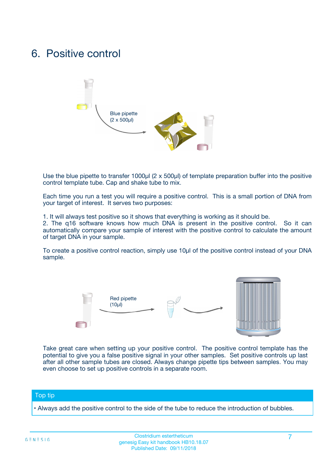### 6. Positive control



Use the blue pipette to transfer 1000µl (2 x 500µl) of template preparation buffer into the positive control template tube. Cap and shake tube to mix.

Each time you run a test you will require a positive control. This is a small portion of DNA from your target of interest. It serves two purposes:

1. It will always test positive so it shows that everything is working as it should be.

2. The q16 software knows how much DNA is present in the positive control. So it can automatically compare your sample of interest with the positive control to calculate the amount of target DNA in your sample.

To create a positive control reaction, simply use 10µl of the positive control instead of your DNA sample.



Take great care when setting up your positive control. The positive control template has the potential to give you a false positive signal in your other samples. Set positive controls up last after all other sample tubes are closed. Always change pipette tips between samples. You may even choose to set up positive controls in a separate room.

#### Top tip

**•** Always add the positive control to the side of the tube to reduce the introduction of bubbles.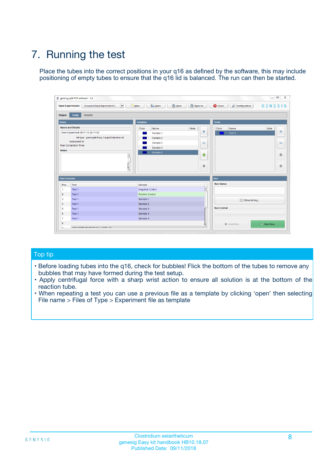## 7. Running the test

Place the tubes into the correct positions in your q16 as defined by the software, this may include positioning of empty tubes to ensure that the q16 lid is balanced. The run can then be started.

|                      | genesig q16 PCR software - 1.2                                               |                                |                              |                                          | $\begin{array}{c c c c} \hline \multicolumn{3}{c }{\textbf{0}} & \multicolumn{3}{c }{\textbf{0}} \end{array}$<br>$\Sigma\!3$ |
|----------------------|------------------------------------------------------------------------------|--------------------------------|------------------------------|------------------------------------------|------------------------------------------------------------------------------------------------------------------------------|
|                      | $\vert \cdot \vert$<br><b>Open Experiments:</b><br>Unsaved (New Experiment 2 | Open<br>Save<br>$\sqrt{9}$ New | Save As                      | <b>C</b> Close<br><b>X</b> Configuration | $G \equiv N \equiv S \mid G$                                                                                                 |
| <b>Stages:</b>       | Setup<br><b>Results</b>                                                      |                                |                              |                                          |                                                                                                                              |
| <b>Notes</b>         |                                                                              | <b>Samples</b>                 |                              | <b>Tests</b>                             |                                                                                                                              |
|                      | <b>Name and Details</b>                                                      | Color<br>Name                  | Note                         | Color<br>Name                            | Note                                                                                                                         |
|                      | New Experiment 2017-10-26 11:06                                              | Sample 1                       | ÷                            | Test 1                                   | ÷                                                                                                                            |
|                      | Kit type: genesig® Easy Target Detection kit                                 | Sample 2                       |                              |                                          |                                                                                                                              |
|                      | Instrument Id.:                                                              | Sample 3                       | $\qquad \qquad \blacksquare$ |                                          | $\qquad \qquad \blacksquare$                                                                                                 |
|                      | <b>Run Completion Time:</b>                                                  | Sample 4                       |                              |                                          |                                                                                                                              |
| <b>Notes</b>         | <b>A</b><br>v                                                                | Sample 5                       | $\triangle$<br>$\oplus$      |                                          | 4<br>₩                                                                                                                       |
| <b>Well Contents</b> |                                                                              |                                |                              | Run                                      |                                                                                                                              |
| Pos.                 | Test                                                                         | Sample                         |                              | <b>Run Status</b>                        |                                                                                                                              |
| $\overline{1}$       | Test 1                                                                       | <b>Negative Control</b>        | $\blacktriangle$             |                                          |                                                                                                                              |
| $\overline{2}$       | Test 1                                                                       | <b>Positive Control</b>        |                              |                                          |                                                                                                                              |
| 3                    | Test 1                                                                       | Sample 1                       |                              | Show full log                            |                                                                                                                              |
| $\overline{4}$       | Test 1                                                                       | Sample 2                       |                              |                                          |                                                                                                                              |
| 5                    | Test 1                                                                       | Sample 3                       |                              | <b>Run Control</b>                       |                                                                                                                              |
| 6                    | Test 1                                                                       | Sample 4                       |                              |                                          |                                                                                                                              |
| $\overline{7}$       | Test 1                                                                       | Sample 5                       |                              |                                          |                                                                                                                              |
| -8                   |                                                                              |                                |                              | Abort Run                                | $\triangleright$ Start Run                                                                                                   |
|                      | <b>JOB FURTY TURE TO BULLMAR LIB</b>                                         |                                | $\overline{\mathbf{v}}$      |                                          |                                                                                                                              |

#### Top tip

- Before loading tubes into the q16, check for bubbles! Flick the bottom of the tubes to remove any bubbles that may have formed during the test setup.
- Apply centrifugal force with a sharp wrist action to ensure all solution is at the bottom of the reaction tube.
- When repeating a test you can use a previous file as a template by clicking 'open' then selecting File name > Files of Type > Experiment file as template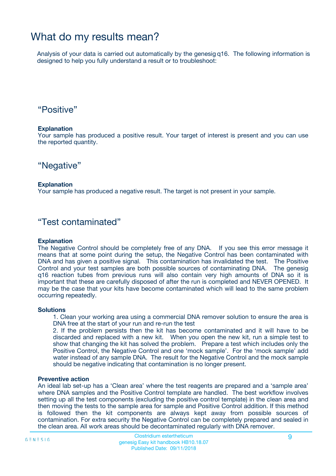### What do my results mean?

Analysis of your data is carried out automatically by the genesig q16. The following information is designed to help you fully understand a result or to troubleshoot:

### "Positive"

#### **Explanation**

Your sample has produced a positive result. Your target of interest is present and you can use the reported quantity.

"Negative"

#### **Explanation**

Your sample has produced a negative result. The target is not present in your sample.

### "Test contaminated"

#### **Explanation**

The Negative Control should be completely free of any DNA. If you see this error message it means that at some point during the setup, the Negative Control has been contaminated with DNA and has given a positive signal. This contamination has invalidated the test. The Positive Control and your test samples are both possible sources of contaminating DNA. The genesig q16 reaction tubes from previous runs will also contain very high amounts of DNA so it is important that these are carefully disposed of after the run is completed and NEVER OPENED. It may be the case that your kits have become contaminated which will lead to the same problem occurring repeatedly.

#### **Solutions**

1. Clean your working area using a commercial DNA remover solution to ensure the area is DNA free at the start of your run and re-run the test

2. If the problem persists then the kit has become contaminated and it will have to be discarded and replaced with a new kit. When you open the new kit, run a simple test to show that changing the kit has solved the problem. Prepare a test which includes only the Positive Control, the Negative Control and one 'mock sample'. For the 'mock sample' add water instead of any sample DNA. The result for the Negative Control and the mock sample should be negative indicating that contamination is no longer present.

#### **Preventive action**

An ideal lab set-up has a 'Clean area' where the test reagents are prepared and a 'sample area' where DNA samples and the Positive Control template are handled. The best workflow involves setting up all the test components (excluding the positive control template) in the clean area and then moving the tests to the sample area for sample and Positive Control addition. If this method is followed then the kit components are always kept away from possible sources of contamination. For extra security the Negative Control can be completely prepared and sealed in the clean area. All work areas should be decontaminated regularly with DNA remover.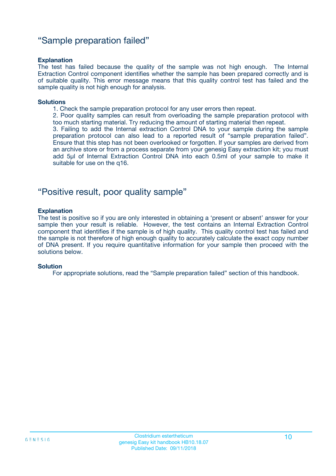### "Sample preparation failed"

#### **Explanation**

The test has failed because the quality of the sample was not high enough. The Internal Extraction Control component identifies whether the sample has been prepared correctly and is of suitable quality. This error message means that this quality control test has failed and the sample quality is not high enough for analysis.

#### **Solutions**

1. Check the sample preparation protocol for any user errors then repeat.

2. Poor quality samples can result from overloading the sample preparation protocol with too much starting material. Try reducing the amount of starting material then repeat.

3. Failing to add the Internal extraction Control DNA to your sample during the sample preparation protocol can also lead to a reported result of "sample preparation failed". Ensure that this step has not been overlooked or forgotten. If your samples are derived from an archive store or from a process separate from your genesig Easy extraction kit; you must add 5µl of Internal Extraction Control DNA into each 0.5ml of your sample to make it suitable for use on the q16.

### "Positive result, poor quality sample"

#### **Explanation**

The test is positive so if you are only interested in obtaining a 'present or absent' answer for your sample then your result is reliable. However, the test contains an Internal Extraction Control component that identifies if the sample is of high quality. This quality control test has failed and the sample is not therefore of high enough quality to accurately calculate the exact copy number of DNA present. If you require quantitative information for your sample then proceed with the solutions below.

#### **Solution**

For appropriate solutions, read the "Sample preparation failed" section of this handbook.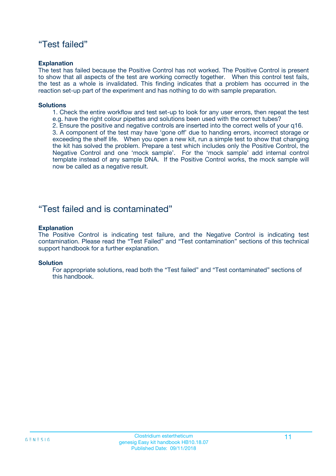### "Test failed"

#### **Explanation**

The test has failed because the Positive Control has not worked. The Positive Control is present to show that all aspects of the test are working correctly together. When this control test fails, the test as a whole is invalidated. This finding indicates that a problem has occurred in the reaction set-up part of the experiment and has nothing to do with sample preparation.

#### **Solutions**

- 1. Check the entire workflow and test set-up to look for any user errors, then repeat the test e.g. have the right colour pipettes and solutions been used with the correct tubes?
- 2. Ensure the positive and negative controls are inserted into the correct wells of your q16.

3. A component of the test may have 'gone off' due to handing errors, incorrect storage or exceeding the shelf life. When you open a new kit, run a simple test to show that changing the kit has solved the problem. Prepare a test which includes only the Positive Control, the Negative Control and one 'mock sample'. For the 'mock sample' add internal control template instead of any sample DNA. If the Positive Control works, the mock sample will now be called as a negative result.

### "Test failed and is contaminated"

#### **Explanation**

The Positive Control is indicating test failure, and the Negative Control is indicating test contamination. Please read the "Test Failed" and "Test contamination" sections of this technical support handbook for a further explanation.

#### **Solution**

For appropriate solutions, read both the "Test failed" and "Test contaminated" sections of this handbook.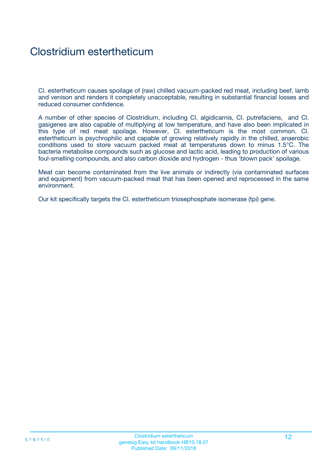### Clostridium estertheticum

Cl. estertheticum causes spoilage of (raw) chilled vacuum-packed red meat, including beef, lamb and venison and renders it completely unacceptable, resulting in substantial financial losses and reduced consumer confidence.

A number of other species of Clostridium, including Cl. algidicarnis, Cl. putrefaciens, and Cl. gasigenes are also capable of multiplying at low temperature, and have also been implicated in this type of red meat spoilage. However, Cl. estertheticum is the most common. Cl. estertheticum is psychrophilic and capable of growing relatively rapidly in the chilled, anaerobic conditions used to store vacuum packed meat at temperatures down to minus 1.5°C. The bacteria metabolise compounds such as glucose and lactic acid, leading to production of various foul-smelling compounds, and also carbon dioxide and hydrogen - thus 'blown pack' spoilage.

Meat can become contaminated from the live animals or indirectly (via contaminated surfaces and equipment) from vacuum-packed meat that has been opened and reprocessed in the same environment.

Our kit specifically targets the Cl. estertheticum triosephosphate isomerase (tpi) gene.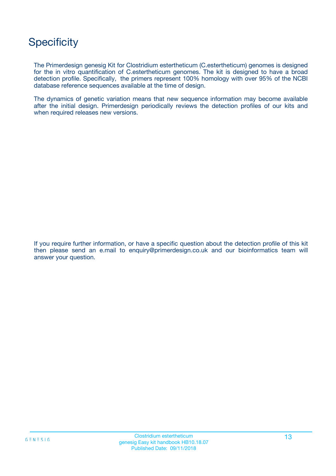## **Specificity**

The Primerdesign genesig Kit for Clostridium estertheticum (C.estertheticum) genomes is designed for the in vitro quantification of C.estertheticum genomes. The kit is designed to have a broad detection profile. Specifically, the primers represent 100% homology with over 95% of the NCBI database reference sequences available at the time of design.

The dynamics of genetic variation means that new sequence information may become available after the initial design. Primerdesign periodically reviews the detection profiles of our kits and when required releases new versions.

If you require further information, or have a specific question about the detection profile of this kit then please send an e.mail to enquiry@primerdesign.co.uk and our bioinformatics team will answer your question.